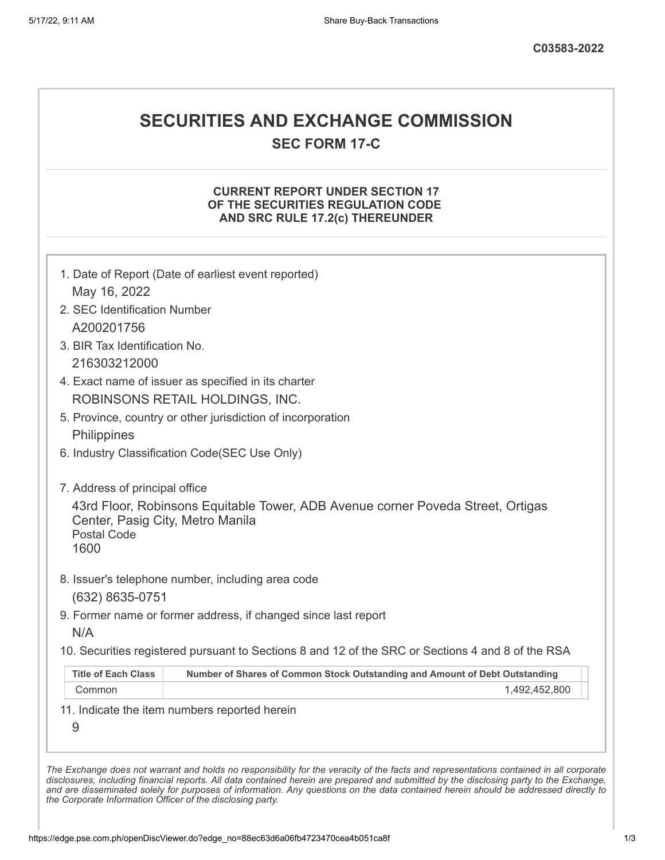# **SECURITIES AND EXCHANGE COMMISSION**

**SEC FORM 17-C**

## **CURRENT REPORT UNDER SECTION 17 OF THE SECURITIES REGULATION CODE AND SRC RULE 17.2(c) THEREUNDER**

| May 16, 2022                                                   |                                                                                                   |
|----------------------------------------------------------------|---------------------------------------------------------------------------------------------------|
| 2. SEC Identification Number                                   |                                                                                                   |
| A200201756                                                     |                                                                                                   |
| 3. BIR Tax Identification No.                                  |                                                                                                   |
| 216303212000                                                   |                                                                                                   |
|                                                                | 4. Exact name of issuer as specified in its charter                                               |
|                                                                | ROBINSONS RETAIL HOLDINGS, INC.                                                                   |
|                                                                | 5. Province, country or other jurisdiction of incorporation                                       |
| Philippines                                                    |                                                                                                   |
|                                                                | 6. Industry Classification Code(SEC Use Only)                                                     |
| 7. Address of principal office                                 |                                                                                                   |
| Center, Pasig City, Metro Manila<br><b>Postal Code</b><br>1600 | 43rd Floor, Robinsons Equitable Tower, ADB Avenue corner Poveda Street, Ortigas                   |
|                                                                | 8. Issuer's telephone number, including area code                                                 |
| (632) 8635-0751                                                |                                                                                                   |
| N/A                                                            | 9. Former name or former address, if changed since last report                                    |
|                                                                | 10. Securities registered pursuant to Sections 8 and 12 of the SRC or Sections 4 and 8 of the RSA |
|                                                                | Number of Shares of Common Stock Outstanding and Amount of Debt Outstanding                       |
| <b>Title of Each Class</b>                                     |                                                                                                   |
| Common                                                         | 1,492,452,800                                                                                     |

*the Corporate Information Officer of the disclosing party.*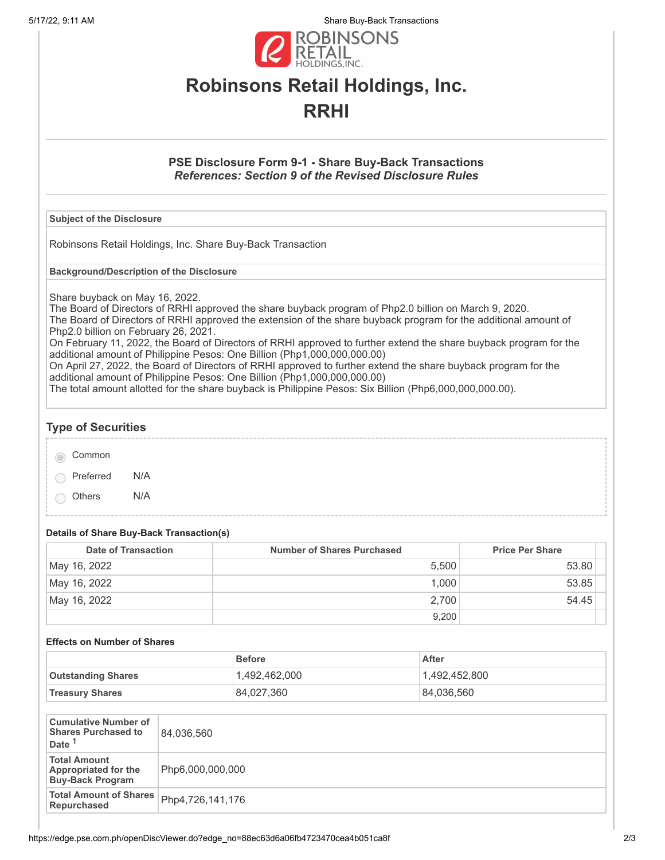5/17/22, 9:11 AM Share Buy-Back Transactions



# **Robinsons Retail Holdings, Inc. RRHI**

## **PSE Disclosure Form 9-1 - Share Buy-Back Transactions** *References: Section 9 of the Revised Disclosure Rules*

#### **Subject of the Disclosure**

Robinsons Retail Holdings, Inc. Share Buy-Back Transaction

**Background/Description of the Disclosure**

Share buyback on May 16, 2022.

The Board of Directors of RRHI approved the share buyback program of Php2.0 billion on March 9, 2020. The Board of Directors of RRHI approved the extension of the share buyback program for the additional amount of Php2.0 billion on February 26, 2021.

On February 11, 2022, the Board of Directors of RRHI approved to further extend the share buyback program for the additional amount of Philippine Pesos: One Billion (Php1,000,000,000.00)

On April 27, 2022, the Board of Directors of RRHI approved to further extend the share buyback program for the additional amount of Philippine Pesos: One Billion (Php1,000,000,000.00)

The total amount allotted for the share buyback is Philippine Pesos: Six Billion (Php6,000,000,000.00).

**Type of Securities**

Common

Preferred N/A

Others N/A

### **Details of Share Buy-Back Transaction(s)**

| Date of Transaction | <b>Number of Shares Purchased</b> | <b>Price Per Share</b> |
|---------------------|-----------------------------------|------------------------|
| May 16, 2022        | 5.500                             | 53.80                  |
| May 16, 2022        | 1.000                             | 53.85                  |
| May 16, 2022        | 2.700                             | 54.45                  |
|                     | 9,200                             |                        |

#### **Effects on Number of Shares**

|                           | <b>Before</b> | After         |
|---------------------------|---------------|---------------|
| <b>Outstanding Shares</b> | 1,492,462,000 | 1,492,452,800 |
| <b>Treasury Shares</b>    | 84,027,360    | 84,036,560    |

| <b>Cumulative Number of</b><br><b>Shares Purchased to</b><br>Date <sup>1</sup> | 84,036,560       |
|--------------------------------------------------------------------------------|------------------|
| <b>Total Amount</b><br><b>Appropriated for the</b><br><b>Buy-Back Program</b>  | Php6,000,000,000 |
| <b>Total Amount of Shares</b><br>Repurchased                                   | Php4,726,141,176 |